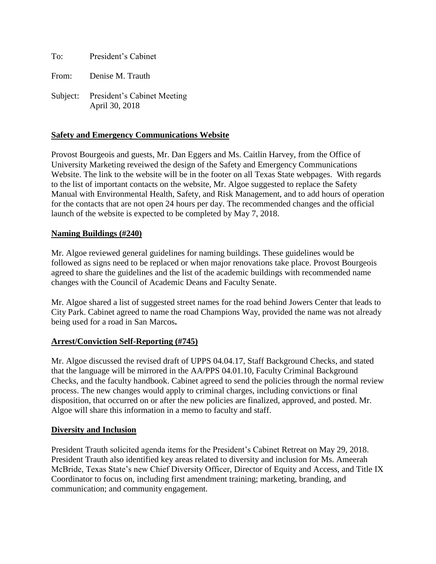To: President's Cabinet

From: Denise M. Trauth

Subject: President's Cabinet Meeting April 30, 2018

## **Safety and Emergency Communications Website**

Provost Bourgeois and guests, Mr. Dan Eggers and Ms. Caitlin Harvey, from the Office of University Marketing reveiwed the design of the Safety and Emergency Communications Website. The link to the website will be in the footer on all Texas State webpages. With regards to the list of important contacts on the website, Mr. Algoe suggested to replace the Safety Manual with Environmental Health, Safety, and Risk Management, and to add hours of operation for the contacts that are not open 24 hours per day. The recommended changes and the official launch of the website is expected to be completed by May 7, 2018.

### **Naming Buildings (#240)**

Mr. Algoe reviewed general guidelines for naming buildings. These guidelines would be followed as signs need to be replaced or when major renovations take place. Provost Bourgeois agreed to share the guidelines and the list of the academic buildings with recommended name changes with the Council of Academic Deans and Faculty Senate.

Mr. Algoe shared a list of suggested street names for the road behind Jowers Center that leads to City Park. Cabinet agreed to name the road Champions Way, provided the name was not already being used for a road in San Marcos**.** 

### **Arrest/Conviction Self-Reporting (#745)**

Mr. Algoe discussed the revised draft of UPPS 04.04.17, Staff Background Checks, and stated that the language will be mirrored in the AA/PPS 04.01.10, Faculty Criminal Background Checks, and the faculty handbook. Cabinet agreed to send the policies through the normal review process. The new changes would apply to criminal charges, including convictions or final disposition, that occurred on or after the new policies are finalized, approved, and posted. Mr. Algoe will share this information in a memo to faculty and staff.

### **Diversity and Inclusion**

President Trauth solicited agenda items for the President's Cabinet Retreat on May 29, 2018. President Trauth also identified key areas related to diversity and inclusion for Ms. Ameerah McBride, Texas State's new Chief Diversity Officer, Director of Equity and Access, and Title IX Coordinator to focus on, including first amendment training; marketing, branding, and communication; and community engagement.